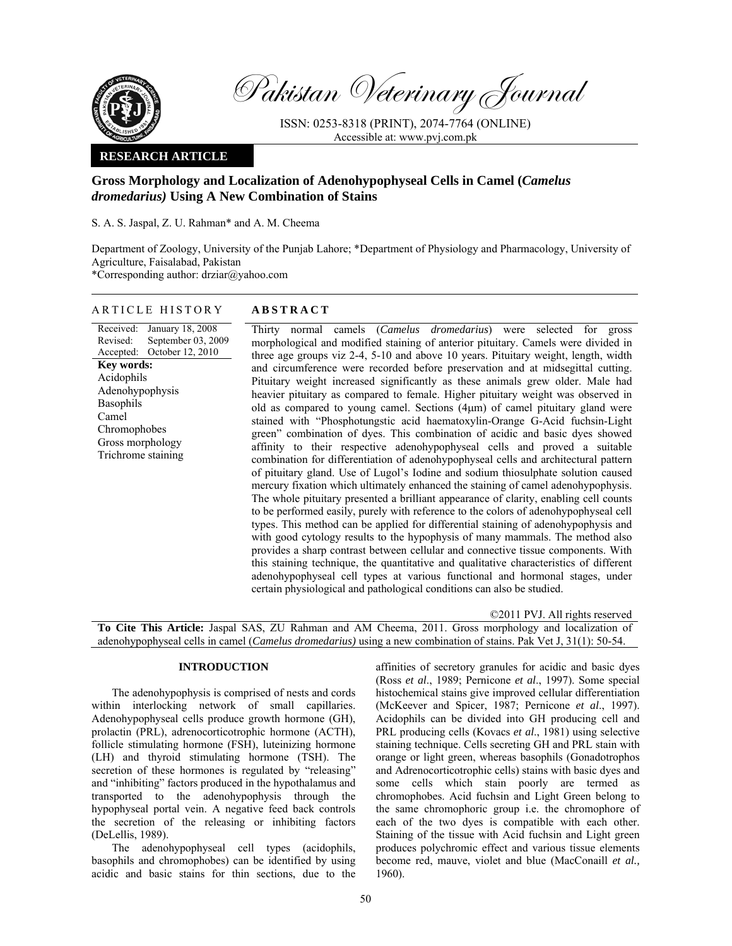

Pakistan Veterinary Journal

ISSN: 0253-8318 (PRINT), 2074-7764 (ONLINE) Accessible at: www.pvj.com.pk

## **RESEARCH ARTICLE**

# **Gross Morphology and Localization of Adenohypophyseal Cells in Camel (***Camelus dromedarius)* **Using A New Combination of Stains**

S. A. S. Jaspal, Z. U. Rahman\* and A. M. Cheema

Department of Zoology, University of the Punjab Lahore; \*Department of Physiology and Pharmacology, University of Agriculture, Faisalabad, Pakistan

\*Corresponding author: drziar@yahoo.com

## ARTICLE HISTORY **ABSTRACT**

Received: Revised: Accepted: January 18, 2008 September 03, 2009 October 12, 2010 **Key words:**  Acidophils Adenohypophysis Basophils Camel Chromophobes Gross morphology Trichrome staining

Thirty normal camels (*Camelus dromedarius*) were selected for gross morphological and modified staining of anterior pituitary. Camels were divided in three age groups viz 2-4, 5-10 and above 10 years. Pituitary weight, length, width and circumference were recorded before preservation and at midsegittal cutting. Pituitary weight increased significantly as these animals grew older. Male had heavier pituitary as compared to female. Higher pituitary weight was observed in old as compared to young camel. Sections (4µm) of camel pituitary gland were stained with "Phosphotungstic acid haematoxylin-Orange G-Acid fuchsin-Light green" combination of dyes. This combination of acidic and basic dyes showed affinity to their respective adenohypophyseal cells and proved a suitable combination for differentiation of adenohypophyseal cells and architectural pattern of pituitary gland. Use of Lugol's Iodine and sodium thiosulphate solution caused mercury fixation which ultimately enhanced the staining of camel adenohypophysis. The whole pituitary presented a brilliant appearance of clarity, enabling cell counts to be performed easily, purely with reference to the colors of adenohypophyseal cell types. This method can be applied for differential staining of adenohypophysis and with good cytology results to the hypophysis of many mammals. The method also provides a sharp contrast between cellular and connective tissue components. With this staining technique, the quantitative and qualitative characteristics of different adenohypophyseal cell types at various functional and hormonal stages, under certain physiological and pathological conditions can also be studied.

©2011 PVJ. All rights reserved **To Cite This Article:** Jaspal SAS, ZU Rahman and AM Cheema, 2011. Gross morphology and localization of adenohypophyseal cells in camel (*Camelus dromedarius)* using a new combination of stains. Pak Vet J, 31(1): 50-54.

## **INTRODUCTION**

The adenohypophysis is comprised of nests and cords within interlocking network of small capillaries. Adenohypophyseal cells produce growth hormone (GH), prolactin (PRL), adrenocorticotrophic hormone (ACTH), follicle stimulating hormone (FSH), luteinizing hormone (LH) and thyroid stimulating hormone (TSH). The secretion of these hormones is regulated by "releasing" and "inhibiting" factors produced in the hypothalamus and transported to the adenohypophysis through the hypophyseal portal vein. A negative feed back controls the secretion of the releasing or inhibiting factors (DeLellis, 1989).

The adenohypophyseal cell types (acidophils, basophils and chromophobes) can be identified by using acidic and basic stains for thin sections, due to the

affinities of secretory granules for acidic and basic dyes (Ross *et al*., 1989; Pernicone *et al*., 1997). Some special histochemical stains give improved cellular differentiation (McKeever and Spicer, 1987; Pernicone *et al*., 1997). Acidophils can be divided into GH producing cell and PRL producing cells (Kovacs *et al*., 1981) using selective staining technique. Cells secreting GH and PRL stain with orange or light green, whereas basophils (Gonadotrophos and Adrenocorticotrophic cells) stains with basic dyes and some cells which stain poorly are termed as chromophobes. Acid fuchsin and Light Green belong to the same chromophoric group i.e. the chromophore of each of the two dyes is compatible with each other. Staining of the tissue with Acid fuchsin and Light green produces polychromic effect and various tissue elements become red, mauve, violet and blue (MacConaill *et al.,* 1960).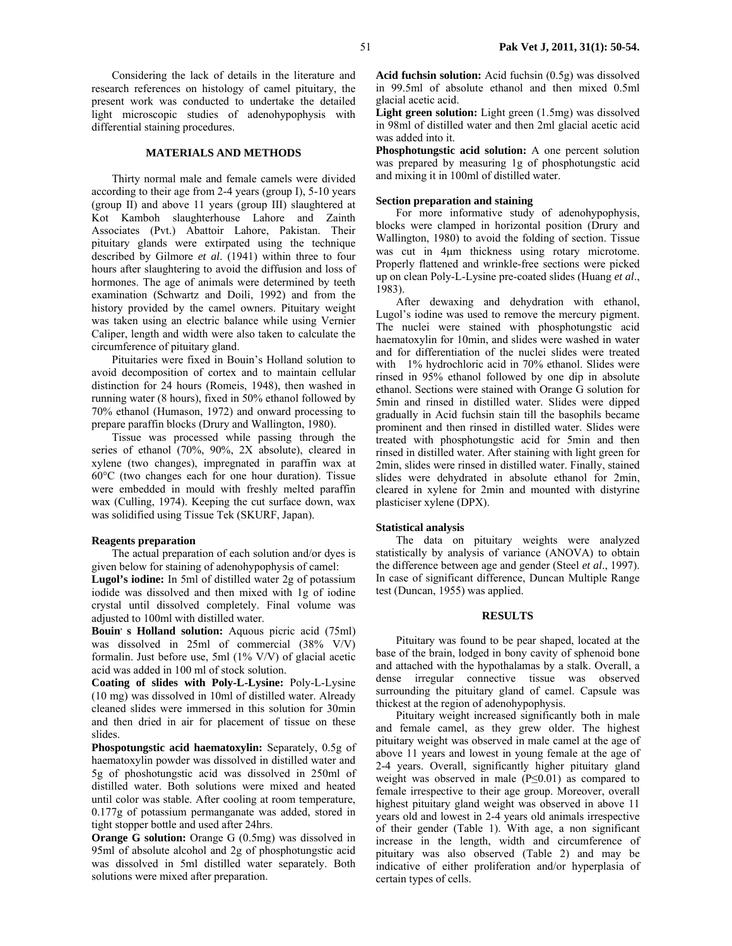Considering the lack of details in the literature and research references on histology of camel pituitary, the present work was conducted to undertake the detailed light microscopic studies of adenohypophysis with differential staining procedures.

### **MATERIALS AND METHODS**

Thirty normal male and female camels were divided according to their age from 2-4 years (group I), 5-10 years (group II) and above 11 years (group III) slaughtered at Kot Kamboh slaughterhouse Lahore and Zainth Associates (Pvt.) Abattoir Lahore, Pakistan. Their pituitary glands were extirpated using the technique described by Gilmore *et al*. (1941) within three to four hours after slaughtering to avoid the diffusion and loss of hormones. The age of animals were determined by teeth examination (Schwartz and Doili, 1992) and from the history provided by the camel owners. Pituitary weight was taken using an electric balance while using Vernier Caliper, length and width were also taken to calculate the circumference of pituitary gland.

Pituitaries were fixed in Bouin's Holland solution to avoid decomposition of cortex and to maintain cellular distinction for 24 hours (Romeis, 1948), then washed in running water (8 hours), fixed in 50% ethanol followed by 70% ethanol (Humason, 1972) and onward processing to prepare paraffin blocks (Drury and Wallington, 1980).

Tissue was processed while passing through the series of ethanol (70%, 90%, 2X absolute), cleared in xylene (two changes), impregnated in paraffin wax at 60°C (two changes each for one hour duration). Tissue were embedded in mould with freshly melted paraffin wax (Culling, 1974). Keeping the cut surface down, wax was solidified using Tissue Tek (SKURF, Japan).

#### **Reagents preparation**

The actual preparation of each solution and/or dyes is given below for staining of adenohypophysis of camel:

**Lugol's iodine:** In 5ml of distilled water 2g of potassium iodide was dissolved and then mixed with 1g of iodine crystal until dissolved completely. Final volume was adjusted to 100ml with distilled water.

**Bouin's Holland solution:** Aquous picric acid (75ml) was dissolved in 25ml of commercial (38% V/V) formalin. Just before use, 5ml (1% V/V) of glacial acetic acid was added in 100 ml of stock solution.

**Coating of slides with Poly-L-Lysine:** Poly-L-Lysine (10 mg) was dissolved in 10ml of distilled water. Already cleaned slides were immersed in this solution for 30min and then dried in air for placement of tissue on these slides.

**Phospotungstic acid haematoxylin:** Separately, 0.5g of haematoxylin powder was dissolved in distilled water and 5g of phoshotungstic acid was dissolved in 250ml of distilled water. Both solutions were mixed and heated until color was stable. After cooling at room temperature, 0.177g of potassium permanganate was added, stored in tight stopper bottle and used after 24hrs.

**Orange G solution:** Orange G (0.5mg) was dissolved in 95ml of absolute alcohol and 2g of phosphotungstic acid was dissolved in 5ml distilled water separately. Both solutions were mixed after preparation.

**Acid fuchsin solution:** Acid fuchsin (0.5g) was dissolved in 99.5ml of absolute ethanol and then mixed 0.5ml glacial acetic acid.

**Light green solution:** Light green (1.5mg) was dissolved in 98ml of distilled water and then 2ml glacial acetic acid was added into it.

**Phosphotungstic acid solution:** A one percent solution was prepared by measuring 1g of phosphotungstic acid and mixing it in 100ml of distilled water.

#### **Section preparation and staining**

For more informative study of adenohypophysis, blocks were clamped in horizontal position (Drury and Wallington, 1980) to avoid the folding of section. Tissue was cut in 4µm thickness using rotary microtome. Properly flattened and wrinkle-free sections were picked up on clean Poly-L-Lysine pre-coated slides (Huang *et al*., 1983).

After dewaxing and dehydration with ethanol, Lugol's iodine was used to remove the mercury pigment. The nuclei were stained with phosphotungstic acid haematoxylin for 10min, and slides were washed in water and for differentiation of the nuclei slides were treated with 1% hydrochloric acid in 70% ethanol. Slides were rinsed in 95% ethanol followed by one dip in absolute ethanol. Sections were stained with Orange G solution for 5min and rinsed in distilled water. Slides were dipped gradually in Acid fuchsin stain till the basophils became prominent and then rinsed in distilled water. Slides were treated with phosphotungstic acid for 5min and then rinsed in distilled water. After staining with light green for 2min, slides were rinsed in distilled water. Finally, stained slides were dehydrated in absolute ethanol for 2min, cleared in xylene for 2min and mounted with distyrine plasticiser xylene (DPX).

#### **Statistical analysis**

The data on pituitary weights were analyzed statistically by analysis of variance (ANOVA) to obtain the difference between age and gender (Steel *et al*., 1997). In case of significant difference, Duncan Multiple Range test (Duncan, 1955) was applied.

### **RESULTS**

Pituitary was found to be pear shaped, located at the base of the brain, lodged in bony cavity of sphenoid bone and attached with the hypothalamas by a stalk. Overall, a dense irregular connective tissue was observed surrounding the pituitary gland of camel. Capsule was thickest at the region of adenohypophysis.

Pituitary weight increased significantly both in male and female camel, as they grew older. The highest pituitary weight was observed in male camel at the age of above 11 years and lowest in young female at the age of 2-4 years. Overall, significantly higher pituitary gland weight was observed in male (P≤0.01) as compared to female irrespective to their age group. Moreover, overall highest pituitary gland weight was observed in above 11 years old and lowest in 2-4 years old animals irrespective of their gender (Table 1). With age, a non significant increase in the length, width and circumference of pituitary was also observed (Table 2) and may be indicative of either proliferation and/or hyperplasia of certain types of cells.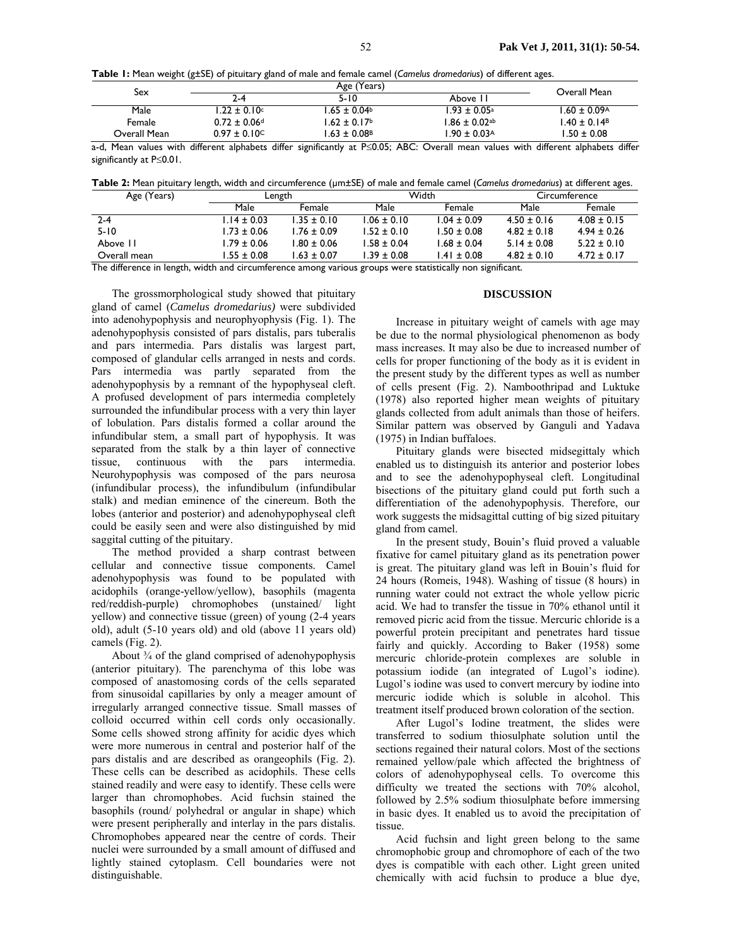**Table 1:** Mean weight (g±SE) of pituitary gland of male and female camel (*Camelus dromedarius*) of different ages.

| Sex          |                              | Overall Mean                 |                              |                              |
|--------------|------------------------------|------------------------------|------------------------------|------------------------------|
|              | 2-4                          | $5 - 10$                     | Above II                     |                              |
| Male         | $1.22 \pm 0.10^{\circ}$      | $1.65 \pm 0.04$              | $1.93 \pm 0.05^{\circ}$      | $1.60 \pm 0.09$ <sup>A</sup> |
| Female       | $0.72 \pm 0.06$ <sup>d</sup> | $1.62 \pm 0.17$              | $1.86 \pm 0.02$ ab           | $1.40 \pm 0.14$ <sup>B</sup> |
| Overall Mean | $0.97 \pm 0.10$ <sup>C</sup> | $1.63 \pm 0.08$ <sup>B</sup> | $1.90 \pm 0.03$ <sup>A</sup> | $1.50 \pm 0.08$              |

a-d, Mean values with different alphabets differ significantly at P≤0.05; ABC: Overall mean values with different alphabets differ significantly at P≤0.01.

**Table 2:** Mean pituitary length, width and circumference (µm±SE) of male and female camel (*Camelus dromedarius*) at different ages.

| Age (Years)  | Length          |                 | Width           |                 | Circumference   |                 |
|--------------|-----------------|-----------------|-----------------|-----------------|-----------------|-----------------|
|              | Male            | Female          | Male            | Female          | Male            | Female          |
| $2 - 4$      | $1.14 \pm 0.03$ | $1.35 \pm 0.10$ | $1.06 \pm 0.10$ | $1.04 \pm 0.09$ | $4.50 \pm 0.16$ | $4.08 + 0.15$   |
| $5 - 10$     | $1.73 \pm 0.06$ | $1.76 + 0.09$   | $1.52 \pm 0.10$ | $1.50 \pm 0.08$ | $4.82 \pm 0.18$ | $4.94 + 0.26$   |
| Above 11     | $1.79 \pm 0.06$ | $1.80 \pm 0.06$ | $1.58 \pm 0.04$ | $1.68 \pm 0.04$ | $5.14 \pm 0.08$ | $5.22 \pm 0.10$ |
| Overall mean | $1.55 \pm 0.08$ | $1.63 \pm 0.07$ | $1.39 \pm 0.08$ | $1.41 \pm 0.08$ | $4.82 \pm 0.10$ | $4.72 \pm 0.17$ |

The difference in length, width and circumference among various groups were statistically non significant.

The grossmorphological study showed that pituitary gland of camel (*Camelus dromedarius)* were subdivided into adenohypophysis and neurophyophysis (Fig. 1). The adenohypophysis consisted of pars distalis, pars tuberalis and pars intermedia. Pars distalis was largest part, composed of glandular cells arranged in nests and cords. Pars intermedia was partly separated from the adenohypophysis by a remnant of the hypophyseal cleft. A profused development of pars intermedia completely surrounded the infundibular process with a very thin layer of lobulation. Pars distalis formed a collar around the infundibular stem, a small part of hypophysis. It was separated from the stalk by a thin layer of connective tissue, continuous with the pars intermedia. Neurohypophysis was composed of the pars neurosa (infundibular process), the infundibulum (infundibular stalk) and median eminence of the cinereum. Both the lobes (anterior and posterior) and adenohypophyseal cleft could be easily seen and were also distinguished by mid saggital cutting of the pituitary.

The method provided a sharp contrast between cellular and connective tissue components. Camel adenohypophysis was found to be populated with acidophils (orange-yellow/yellow), basophils (magenta red/reddish-purple) chromophobes (unstained/ light yellow) and connective tissue (green) of young (2-4 years old), adult (5-10 years old) and old (above 11 years old) camels (Fig. 2).

About  $\frac{3}{4}$  of the gland comprised of adenohypophysis (anterior pituitary). The parenchyma of this lobe was composed of anastomosing cords of the cells separated from sinusoidal capillaries by only a meager amount of irregularly arranged connective tissue. Small masses of colloid occurred within cell cords only occasionally. Some cells showed strong affinity for acidic dyes which were more numerous in central and posterior half of the pars distalis and are described as orangeophils (Fig. 2). These cells can be described as acidophils. These cells stained readily and were easy to identify. These cells were larger than chromophobes. Acid fuchsin stained the basophils (round/ polyhedral or angular in shape) which were present peripherally and interlay in the pars distalis. Chromophobes appeared near the centre of cords. Their nuclei were surrounded by a small amount of diffused and lightly stained cytoplasm. Cell boundaries were not distinguishable.

## **DISCUSSION**

Increase in pituitary weight of camels with age may be due to the normal physiological phenomenon as body mass increases. It may also be due to increased number of cells for proper functioning of the body as it is evident in the present study by the different types as well as number of cells present (Fig. 2). Namboothripad and Luktuke (1978) also reported higher mean weights of pituitary glands collected from adult animals than those of heifers. Similar pattern was observed by Ganguli and Yadava (1975) in Indian buffaloes.

Pituitary glands were bisected midsegittaly which enabled us to distinguish its anterior and posterior lobes and to see the adenohypophyseal cleft. Longitudinal bisections of the pituitary gland could put forth such a differentiation of the adenohypophysis. Therefore, our work suggests the midsagittal cutting of big sized pituitary gland from camel.

In the present study, Bouin's fluid proved a valuable fixative for camel pituitary gland as its penetration power is great. The pituitary gland was left in Bouin's fluid for 24 hours (Romeis, 1948). Washing of tissue (8 hours) in running water could not extract the whole yellow picric acid. We had to transfer the tissue in 70% ethanol until it removed picric acid from the tissue. Mercuric chloride is a powerful protein precipitant and penetrates hard tissue fairly and quickly. According to Baker (1958) some mercuric chloride-protein complexes are soluble in potassium iodide (an integrated of Lugol's iodine). Lugol's iodine was used to convert mercury by iodine into mercuric iodide which is soluble in alcohol. This treatment itself produced brown coloration of the section.

After Lugol's Iodine treatment, the slides were transferred to sodium thiosulphate solution until the sections regained their natural colors. Most of the sections remained yellow/pale which affected the brightness of colors of adenohypophyseal cells. To overcome this difficulty we treated the sections with 70% alcohol, followed by 2.5% sodium thiosulphate before immersing in basic dyes. It enabled us to avoid the precipitation of tissue.

Acid fuchsin and light green belong to the same chromophobic group and chromophore of each of the two dyes is compatible with each other. Light green united chemically with acid fuchsin to produce a blue dye,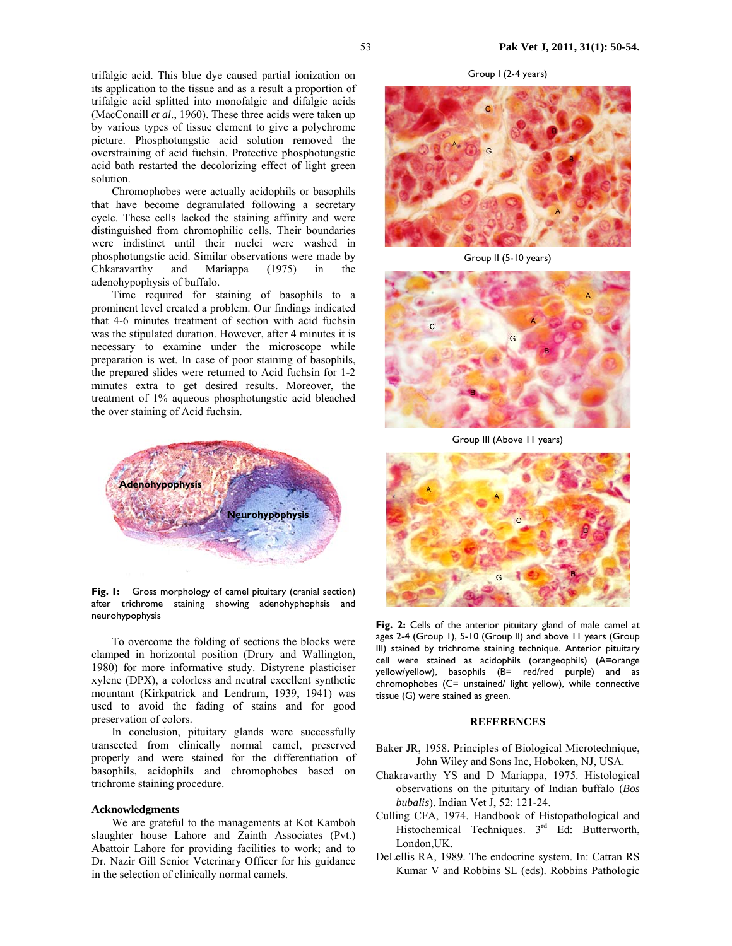trifalgic acid. This blue dye caused partial ionization on its application to the tissue and as a result a proportion of trifalgic acid splitted into monofalgic and difalgic acids (MacConaill *et al*., 1960). These three acids were taken up by various types of tissue element to give a polychrome picture. Phosphotungstic acid solution removed the overstraining of acid fuchsin. Protective phosphotungstic acid bath restarted the decolorizing effect of light green solution.

Chromophobes were actually acidophils or basophils that have become degranulated following a secretary cycle. These cells lacked the staining affinity and were distinguished from chromophilic cells. Their boundaries were indistinct until their nuclei were washed in phosphotungstic acid. Similar observations were made by Chkaravarthy and Mariappa (1975) in the adenohypophysis of buffalo.

Time required for staining of basophils to a prominent level created a problem. Our findings indicated that 4-6 minutes treatment of section with acid fuchsin was the stipulated duration. However, after 4 minutes it is necessary to examine under the microscope while preparation is wet. In case of poor staining of basophils, the prepared slides were returned to Acid fuchsin for 1-2 minutes extra to get desired results. Moreover, the treatment of 1% aqueous phosphotungstic acid bleached the over staining of Acid fuchsin.



**Fig. 1:** Gross morphology of camel pituitary (cranial section) after trichrome staining showing adenohyphophsis and neurohypophysis

To overcome the folding of sections the blocks were clamped in horizontal position (Drury and Wallington, 1980) for more informative study. Distyrene plasticiser xylene (DPX), a colorless and neutral excellent synthetic mountant (Kirkpatrick and Lendrum, 1939, 1941) was used to avoid the fading of stains and for good preservation of colors.

In conclusion, pituitary glands were successfully transected from clinically normal camel, preserved properly and were stained for the differentiation of basophils, acidophils and chromophobes based on trichrome staining procedure.

#### **Acknowledgments**

We are grateful to the managements at Kot Kamboh slaughter house Lahore and Zainth Associates (Pvt.) Abattoir Lahore for providing facilities to work; and to Dr. Nazir Gill Senior Veterinary Officer for his guidance in the selection of clinically normal camels.

Group I (2-4 years)



Group II (5-10 years)



Group III (Above 11 years)



**Fig. 2:** Cells of the anterior pituitary gland of male camel at ages 2-4 (Group 1), 5-10 (Group II) and above 11 years (Group III) stained by trichrome staining technique. Anterior pituitary cell were stained as acidophils (orangeophils) (A=orange yellow/yellow), basophils (B= red/red purple) and as chromophobes (C= unstained/ light yellow), while connective tissue (G) were stained as green.

### **REFERENCES**

- Baker JR, 1958. Principles of Biological Microtechnique, John Wiley and Sons Inc, Hoboken, NJ, USA.
- Chakravarthy YS and D Mariappa, 1975. Histological observations on the pituitary of Indian buffalo (*Bos bubalis*). Indian Vet J, 52: 121-24.
- Culling CFA, 1974. Handbook of Histopathological and Histochemical Techniques. 3<sup>rd</sup> Ed: Butterworth, London,UK.
- DeLellis RA, 1989. The endocrine system. In: Catran RS Kumar V and Robbins SL (eds). Robbins Pathologic